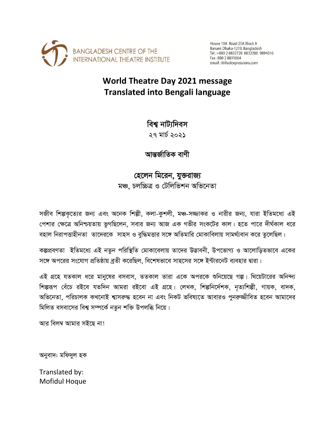

House 10A Road 25A Block A Banani, Dhaka-1213, Bangladesh Tel: +880 2 8832728 8832280 9894016 Fax: 880 2 8811664 email:iti@adexpressions.com

## **World Theatre Day 2021 message Translated into Bengali language**

বিশ্ব নাট্যদিবস

২৭ মার্চ ২০২১

আন্তর্জাতিক বাণী

হেলেন মিরেন, যুক্তরাজ্য মঞ্চ, চলচ্চিত্ৰ ও টেলিভিশন অভিনেতা

সজীব শিল্পকৃত্যের জন্য এবং অনেক শিল্পী, কলা-কুশলী, মঞ্চ-সজ্জাকর ও নারীর জন্য, যারা ইতিমধ্যে এই পেশার ক্ষেত্রে অনিশ্চয়তায় ভুগছিলেন, সবার জন্য আজ এক গভীর সংকটের কাল। হতে পারে দীর্ঘকাল ধরে বহাল নিরাপত্তাহীনতা তাদেরকে সাহস ও বুদ্ধিমত্তার সঙ্গে অতিমারি মোকাবিলায় সামর্থ্যবান করে তুলেছিল।

কল্পপ্রবণতা ইতিমধ্যে এই নতুন পরিস্থিতি মোকাবেলায় তাদের উদ্ভাবনী, উপভোগ্য ও আলোড়িতভাবে একের সঙ্গে অপরের সংযোগ প্রতিষ্ঠায় ব্রতী করেছিল, বিশেষভাবে সাহসের সঙ্গে ইন্টারনেট ব্যবহার দ্বারা।

এই গ্রহে যতকাল ধরে মানুষের বসবাস, ততকাল তারা একে অপরকে শুনিয়েছে গল্প। থিয়েটারের অনিন্দ্য শিল্পরূপ বেঁচে রইবে যতদিন আমরা রইবো এই গ্রহে। লেখক, শিল্পনির্দেশক, নৃত্যশিল্পী, গায়ক, বাদক, অভিনেতা, পরিচালক কখনোই শ্বাসরুদ্ধ হবেন না এবং নিকট ভবিষ্যতে আবারও পুনরুজ্জীবিত হবেন আমাদের মিলিত বসবাসের বিশ্ব সম্পর্কে নতুন শক্তি উপলব্ধি নিয়ে।

আর বিলম্ব আমার সইছে না!

অনুবাদ: মফিদুল হক

Translated by: Mofidul Hoque